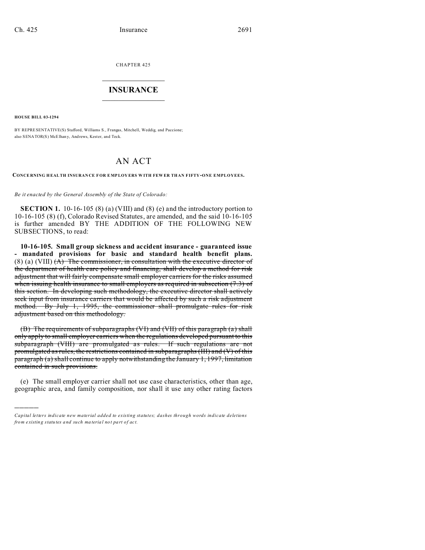CHAPTER 425  $\overline{\phantom{a}}$  , where  $\overline{\phantom{a}}$ 

## **INSURANCE**  $\_$   $\_$   $\_$   $\_$   $\_$   $\_$   $\_$   $\_$

**HOUSE BILL 03-1294**

)))))

BY REPRESENTATIVE(S) Stafford, Williams S., Frangas, Mitchell, Weddig, and Paccione; also SENATOR(S) McElhan y, And rews, Kester, and Teck.

# AN ACT

#### **CONCE RNING HEALTH INSURAN CE F OR EMPLOY ERS W ITH FEW ER THAN FIFTY-ONE EMPLOYEES.**

*Be it enacted by the General Assembly of the State of Colorado:*

**SECTION 1.** 10-16-105 (8) (a) (VIII) and (8) (e) and the introductory portion to 10-16-105 (8) (f), Colorado Revised Statutes, are amended, and the said 10-16-105 is further amended BY THE ADDITION OF THE FOLLOWING NEW SUBSECTIONS, to read:

**10-16-105. Small group sickness and accident insurance - guaranteed issue - mandated provisions for basic and standard health benefit plans.**  $(8)$  (a) (VIII)  $(A)$  The commissioner, in consultation with the executive director of the department of health care policy and financing, shall develop a method for risk adjustment that will fairly compensate small employer carriers for the risks assumed when issuing health insurance to small employers as required in subsection (7.3) of this section. In developing such methodology, the executive director shall actively seek input from insurance carriers that would be affected by such a risk adjustment method. By July 1, 1995, the commissioner shall promulgate rules for risk adjustment based on this methodology.

(B) The requirements of subparagraphs (VI) and (VII) of this paragraph (a) shall only apply to small employer carriers when the regulations developed pursuant to this subparagraph (VIII) are promulgated as rules. If such regulations are not promulgated as rules, the restrictions contained in subparagraphs (III) and (V) of this paragraph (a) shall continue to apply notwithstanding the January 1, 1997, limitation contained in such provisions.

(e) The small employer carrier shall not use case characteristics, other than age, geographic area, and family composition, nor shall it use any other rating factors

*Capital letters indicate new material added to existing statutes; dashes through words indicate deletions from e xistin g statu tes a nd such ma teria l no t pa rt of ac t.*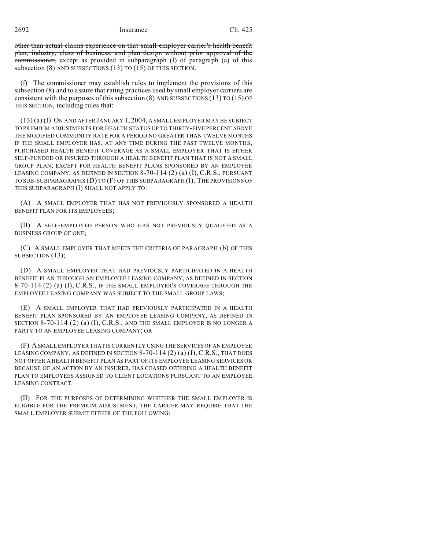2692 Insurance Ch. 425

other than actual claims experience on that small employer carrier's health benefit plan, industry, class of business, and plan design without prior approval of the commissioner, except as provided in subparagraph (I) of paragraph (a) of this subsection (8) AND SUBSECTIONS (13) TO (15) OF THIS SECTION.

(f) The commissioner may establish rules to implement the provisions of this subsection (8) and to assure that rating practices used by small employer carriers are consistent with the purposes of this subsection  $(8)$  AND SUBSECTIONS  $(13)$  TO  $(15)$  OF THIS SECTION, including rules that:

(13) (a) (I) ON AND AFTER JANUARY 1, 2004, A SMALL EMPLOYER MAY BE SUBJECT TO PREMIUM ADJUSTMENTS FOR HEALTH STATUS UP TO THIRTY-FIVE PERCENT ABOVE THE MODIFIED COMMUNITY RATE FOR A PERIOD NO GREATER THAN TWELVE MONTHS IF THE SMALL EMPLOYER HAS, AT ANY TIME DURING THE PAST TWELVE MONTHS, PURCHASED HEALTH BENEFIT COVERAGE AS A SMALL EMPLOYER THAT IS EITHER SELF-FUNDED OR INSURED THROUGH A HEALTH BENEFIT PLAN THAT IS NOT A SMALL GROUP PLAN; EXCEPT FOR HEALTH BENEFIT PLANS SPONSORED BY AN EMPLOYEE LEASING COMPANY, AS DEFINED IN SECTION 8-70-114 (2) (a) (I), C.R.S., PURSUANT TO SUB-SUBPARAGRAPHS (D) TO (F) OF THIS SUBPARAGRAPH (I). THE PROVISIONS OF THIS SUBPARAGRAPH (I) SHALL NOT APPLY TO:

(A) A SMALL EMPLOYER THAT HAS NOT PREVIOUSLY SPONSORED A HEALTH BENEFIT PLAN FOR ITS EMPLOYEES;

(B) A SELF-EMPLOYED PERSON WHO HAS NOT PREVIOUSLY QUALIFIED AS A BUSINESS GROUP OF ONE;

(C) A SMALL EMPLOYER THAT MEETS THE CRITERIA OF PARAGRAPH (b) OF THIS SUBSECTION (13);

(D) A SMALL EMPLOYER THAT HAD PREVIOUSLY PARTICIPATED IN A HEALTH BENEFIT PLAN THROUGH AN EMPLOYEE LEASING COMPANY, AS DEFINED IN SECTION 8-70-114 (2) (a) (I), C.R.S., IF THE SMALL EMPLOYER'S COVERAGE THROUGH THE EMPLOYEE LEASING COMPANY WAS SUBJECT TO THE SMALL GROUP LAWS;

(E) A SMALL EMPLOYER THAT HAD PREVIOUSLY PARTICIPATED IN A HEALTH BENEFIT PLAN SPONSORED BY AN EMPLOYEE LEASING COMPANY, AS DEFINED IN SECTION 8-70-114 (2) (a) (I), C.R.S., AND THE SMALL EMPLOYER IS NO LONGER A PARTY TO AN EMPLOYEE LEASING COMPANY; OR

(F) A SMALL EMPLOYER THAT IS CURRENTLY USING THE SERVICESOF AN EMPLOYEE LEASING COMPANY, AS DEFINED IN SECTION  $8-70-114(2)$  (a) (I), C.R.S., THAT DOES NOT OFFER A HEALTH BENEFIT PLAN AS PART OF ITS EMPLOYEE LEASING SERVICES OR BECAUSE OF AN ACTION BY AN INSURER, HAS CEASED OFFERING A HEALTH BENEFIT PLAN TO EMPLOYEES ASSIGNED TO CLIENT LOCATIONS PURSUANT TO AN EMPLOYEE LEASING CONTRACT.

(II) FOR THE PURPOSES OF DETERMINING WHETHER THE SMALL EMPLOYER IS ELIGIBLE FOR THE PREMIUM ADJUSTMENT, THE CARRIER MAY REQUIRE THAT THE SMALL EMPLOYER SUBMIT EITHER OF THE FOLLOWING: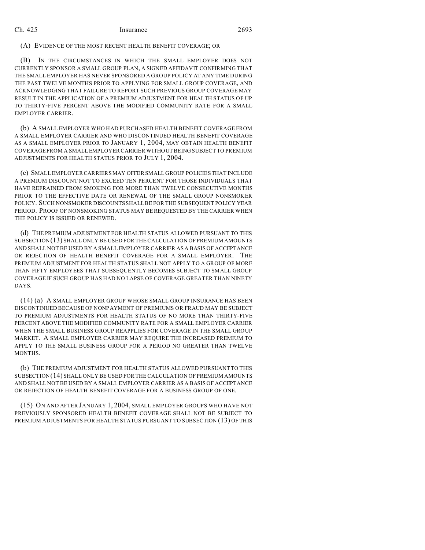## Ch. 425 Insurance 2693

## (A) EVIDENCE OF THE MOST RECENT HEALTH BENEFIT COVERAGE; OR

(B) IN THE CIRCUMSTANCES IN WHICH THE SMALL EMPLOYER DOES NOT CURRENTLY SPONSOR A SMALL GROUP PLAN, A SIGNED AFFIDAVIT CONFIRMING THAT THE SMALL EMPLOYER HAS NEVER SPONSORED A GROUP POLICY AT ANY TIME DURING THE PAST TWELVE MONTHS PRIOR TO APPLYING FOR SMALL GROUP COVERAGE, AND ACKNOWLEDGING THAT FAILURE TO REPORT SUCH PREVIOUS GROUP COVERAGE MAY RESULT IN THE APPLICATION OF A PREMIUM ADJUSTMENT FOR HEALTH STATUS OF UP TO THIRTY-FIVE PERCENT ABOVE THE MODIFIED COMMUNITY RATE FOR A SMALL EMPLOYER CARRIER.

(b) A SMALL EMPLOYER WHO HAD PURCHASED HEALTH BENEFIT COVERAGE FROM A SMALL EMPLOYER CARRIER AND WHO DISCONTINUED HEALTH BENEFIT COVERAGE AS A SMALL EMPLOYER PRIOR TO JANUARY 1, 2004, MAY OBTAIN HEALTH BENEFIT COVERAGE FROM A SMALL EMPLOYER CARRIER WITHOUT BEING SUBJECT TO PREMIUM ADJUSTMENTS FOR HEALTH STATUS PRIOR TO JULY 1, 2004.

(c) SMALL EMPLOYER CARRIERS MAY OFFER SMALL GROUP POLICIESTHAT INCLUDE A PREMIUM DISCOUNT NOT TO EXCEED TEN PERCENT FOR THOSE INDIVIDUALS THAT HAVE REFRAINED FROM SMOKING FOR MORE THAN TWELVE CONSECUTIVE MONTHS PRIOR TO THE EFFECTIVE DATE OR RENEWAL OF THE SMALL GROUP NONSMOKER POLICY. SUCH NONSMOKER DISCOUNTS SHALL BE FOR THE SUBSEQUENT POLICY YEAR PERIOD. PROOF OF NONSMOKING STATUS MAY BE REQUESTED BY THE CARRIER WHEN THE POLICY IS ISSUED OR RENEWED.

(d) THE PREMIUM ADJUSTMENT FOR HEALTH STATUS ALLOWED PURSUANT TO THIS SUBSECTION(13) SHALL ONLY BE USED FOR THE CALCULATION OF PREMIUM AMOUNTS AND SHALL NOT BE USED BY A SMALL EMPLOYER CARRIER AS A BASIS OF ACCEPTANCE OR REJECTION OF HEALTH BENEFIT COVERAGE FOR A SMALL EMPLOYER. THE PREMIUM ADJUSTMENT FOR HEALTH STATUS SHALL NOT APPLY TO A GROUP OF MORE THAN FIFTY EMPLOYEES THAT SUBSEQUENTLY BECOMES SUBJECT TO SMALL GROUP COVERAGE IF SUCH GROUP HAS HAD NO LAPSE OF COVERAGE GREATER THAN NINETY DAYS.

(14) (a) A SMALL EMPLOYER GROUP WHOSE SMALL GROUP INSURANCE HAS BEEN DISCONTINUED BECAUSE OF NONPAYMENT OF PREMIUMS OR FRAUD MAY BE SUBJECT TO PREMIUM ADJUSTMENTS FOR HEALTH STATUS OF NO MORE THAN THIRTY-FIVE PERCENT ABOVE THE MODIFIED COMMUNITY RATE FOR A SMALL EMPLOYER CARRIER WHEN THE SMALL BUSINESS GROUP REAPPLIES FOR COVERAGE IN THE SMALL GROUP MARKET. A SMALL EMPLOYER CARRIER MAY REQUIRE THE INCREASED PREMIUM TO APPLY TO THE SMALL BUSINESS GROUP FOR A PERIOD NO GREATER THAN TWELVE MONTHS.

(b) THE PREMIUM ADJUSTMENT FOR HEALTH STATUS ALLOWED PURSUANT TO THIS SUBSECTION(14) SHALL ONLY BE USED FOR THE CALCULATION OF PREMIUM AMOUNTS AND SHALL NOT BE USED BY A SMALL EMPLOYER CARRIER AS A BASIS OF ACCEPTANCE OR REJECTION OF HEALTH BENEFIT COVERAGE FOR A BUSINESS GROUP OF ONE.

(15) ON AND AFTER JANUARY 1, 2004, SMALL EMPLOYER GROUPS WHO HAVE NOT PREVIOUSLY SPONSORED HEALTH BENEFIT COVERAGE SHALL NOT BE SUBJECT TO PREMIUM ADJUSTMENTS FOR HEALTH STATUS PURSUANT TO SUBSECTION (13) OF THIS